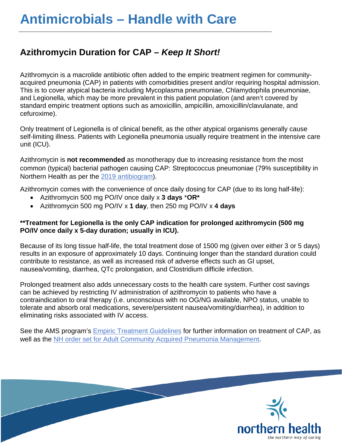## **Azithromycin Duration for CAP –** *Keep It Short!*

Azithromycin is a macrolide antibiotic often added to the empiric treatment regimen for communityacquired pneumonia (CAP) in patients with comorbidities present and/or requiring hospital admission. This is to cover atypical bacteria including Mycoplasma pneumoniae, Chlamydophila pneumoniae, and Legionella, which may be more prevalent in this patient population (and aren't covered by standard empiric treatment options such as amoxicillin, ampicillin, amoxicillin/clavulanate, and cefuroxime).

Only treatment of Legionella is of clinical benefit, as the other atypical organisms generally cause self-limiting illness. Patients with Legionella pneumonia usually require treatment in the intensive care unit (ICU).

Azithromycin is **not recommended** as monotherapy due to increasing resistance from the most common (typical) bacterial pathogen causing CAP: Streptococcus pneumoniae (79% susceptibility in Northern Health as per the [2019 antibiogram\)](https://physicians.northernhealth.ca/sites/physicians/files/physician-resources/antimicrobial-stewardship/documents/nh-antibiogram.pdf).

Azithromycin comes with the convenience of once daily dosing for CAP (due to its long half-life):

- Azithromycin 500 mg PO/IV once daily x **3 days** \***OR\***
- Azithromycin 500 mg PO/IV x **1 day**, then 250 mg PO/IV x **4 days**

## **\*\*Treatment for Legionella is the only CAP indication for prolonged azithromycin (500 mg PO/IV once daily x 5-day duration; usually in ICU).**

Because of its long tissue half-life, the total treatment dose of 1500 mg (given over either 3 or 5 days) results in an exposure of approximately 10 days. Continuing longer than the standard duration could contribute to resistance, as well as increased risk of adverse effects such as GI upset, nausea/vomiting, diarrhea, QTc prolongation, and Clostridium difficile infection.

Prolonged treatment also adds unnecessary costs to the health care system. Further cost savings can be achieved by restricting IV administration of azithromycin to patients who have a contraindication to oral therapy (i.e. unconscious with no OG/NG available, NPO status, unable to tolerate and absorb oral medications, severe/persistent nausea/vomiting/diarrhea), in addition to eliminating risks associated with IV access.

See the AMS program's Empiric [Treatment](https://physicians.northernhealth.ca/sites/physicians/files/physician-resources/antimicrobial-stewardship/documents/empiric-treatment-guidelines-common-infections.pdf) [Guidelines](https://physicians.northernhealth.ca/sites/physicians/files/physician-resources/antimicrobial-stewardship/documents/empiric-treatment-guidelines-common-infections.pdf) for further information on treatment of CAP, as well as the [NH order set for Adult Community Acquired Pneumonia Management.](https://physicians.northernhealth.ca/sites/physicians/files/physician-resources/antimicrobial-stewardship/documents/adult-community-acquired-pneumonia-management.pdf)